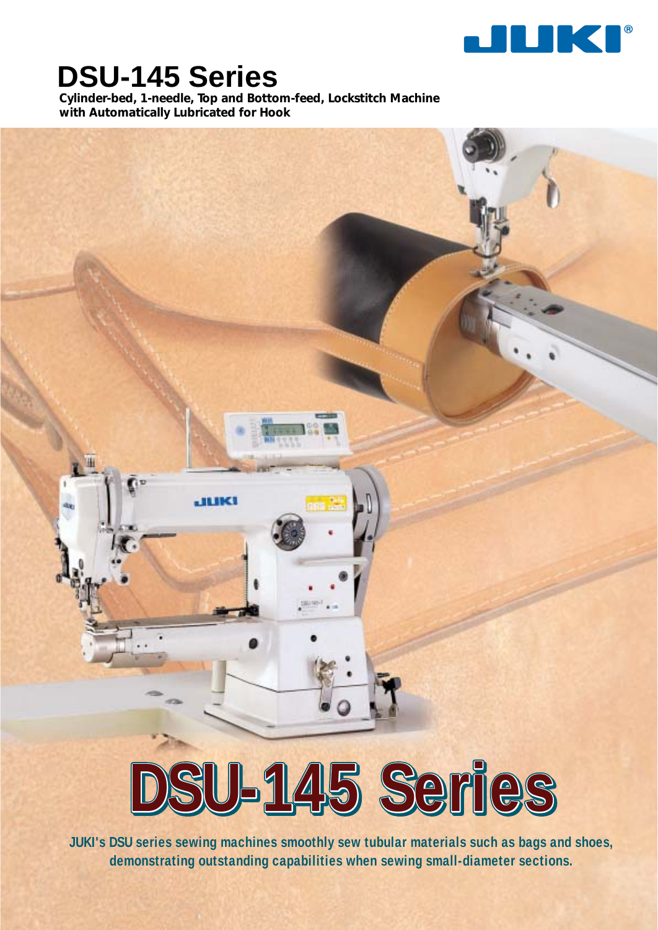

# **DSU-145 Series**

**Cylinder-bed, 1-needle, Top and Bottom-feed, Lockstitch Machine with Automatically Lubricated for Hook**



**JUKI's DSU series sewing machines smoothly sew tubular materials such as bags and shoes, demonstrating outstanding capabilities when sewing small-diameter sections.**